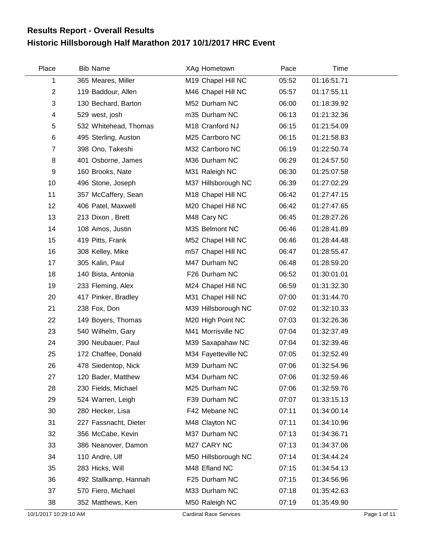## **Historic Hillsborough Half Marathon 2017 10/1/2017 HRC Event Results Report - Overall Results**

| Place          | <b>Bib Name</b>       | XAg Hometown        | Pace  | Time        |
|----------------|-----------------------|---------------------|-------|-------------|
| 1              | 365 Meares, Miller    | M19 Chapel Hill NC  | 05:52 | 01:16:51.71 |
| $\overline{2}$ | 119 Baddour, Allen    | M46 Chapel Hill NC  | 05:57 | 01:17:55.11 |
| 3              | 130 Bechard, Barton   | M52 Durham NC       | 06:00 | 01:18:39.92 |
| 4              | 529 west, josh        | m35 Durham NC       | 06:13 | 01:21:32.36 |
| 5              | 532 Whitehead, Thomas | M18 Cranford NJ     | 06:15 | 01:21:54.09 |
| 6              | 495 Sterling, Auston  | M25 Carrboro NC     | 06:15 | 01:21:58.83 |
| $\overline{7}$ | 398 Ono, Takeshi      | M32 Carrboro NC     | 06:19 | 01:22:50.74 |
| 8              | 401 Osborne, James    | M36 Durham NC       | 06:29 | 01:24:57.50 |
| 9              | 160 Brooks, Nate      | M31 Raleigh NC      | 06:30 | 01:25:07.58 |
| 10             | 496 Stone, Joseph     | M37 Hillsborough NC | 06:39 | 01:27:02.29 |
| 11             | 357 McCaffery, Sean   | M18 Chapel Hill NC  | 06:42 | 01:27:47.15 |
| 12             | 406 Patel, Maxwell    | M20 Chapel Hill NC  | 06:42 | 01:27:47.65 |
| 13             | 213 Dixon, Brett      | M48 Cary NC         | 06:45 | 01:28:27.26 |
| 14             | 108 Amos, Justin      | M35 Belmont NC      | 06:46 | 01:28:41.89 |
| 15             | 419 Pitts, Frank      | M52 Chapel Hill NC  | 06:46 | 01:28:44.48 |
| 16             | 308 Kelley, Mike      | m57 Chapel Hill NC  | 06:47 | 01:28:55.47 |
| 17             | 305 Kalin, Paul       | M47 Durham NC       | 06:48 | 01:28:59.20 |
| 18             | 140 Bista, Antonia    | F26 Durham NC       | 06:52 | 01:30:01.01 |
| 19             | 233 Fleming, Alex     | M24 Chapel Hill NC  | 06:59 | 01:31:32.30 |
| 20             | 417 Pinker, Bradley   | M31 Chapel Hill NC  | 07:00 | 01:31:44.70 |
| 21             | 238 Fox, Don          | M39 Hillsborough NC | 07:02 | 01:32:10.33 |
| 22             | 149 Boyers, Thomas    | M20 High Point NC   | 07:03 | 01:32:26.36 |
| 23             | 540 Wilhelm, Gary     | M41 Morrisville NC  | 07:04 | 01:32:37.49 |
| 24             | 390 Neubauer, Paul    | M39 Saxapahaw NC    | 07:04 | 01:32:39.46 |
| 25             | 172 Chaffee, Donald   | M34 Fayetteville NC | 07:05 | 01:32:52.49 |
| 26             | 478 Siedentop, Nick   | M39 Durham NC       | 07:06 | 01:32:54.96 |
| 27             | 120 Bader, Matthew    | M34 Durham NC       | 07:06 | 01:32:59.46 |
| 28             | 230 Fields, Michael   | M25 Durham NC       | 07:06 | 01:32:59.76 |
| 29             | 524 Warren, Leigh     | F39 Durham NC       | 07:07 | 01:33:15.13 |
| 30             | 280 Hecker, Lisa      | F42 Mebane NC       | 07:11 | 01:34:00.14 |
| 31             | 227 Fassnacht, Dieter | M48 Clayton NC      | 07:11 | 01:34:10.96 |
| 32             | 356 McCabe, Kevin     | M37 Durham NC       | 07:13 | 01:34:36.71 |
| 33             | 386 Neanover, Damon   | M27 CARY NC         | 07:13 | 01:34:37.06 |
| 34             | 110 Andre, Ulf        | M50 Hillsborough NC | 07:14 | 01:34:44.24 |
| 35             | 283 Hicks, Will       | M48 Efland NC       | 07:15 | 01:34:54.13 |
| 36             | 492 Stallkamp, Hannah | F25 Durham NC       | 07:15 | 01:34:56.96 |
| 37             | 570 Fiero, Michael    | M33 Durham NC       | 07:18 | 01:35:42.63 |
| 38             | 352 Matthews, Ken     | M50 Raleigh NC      | 07:19 | 01:35:49.90 |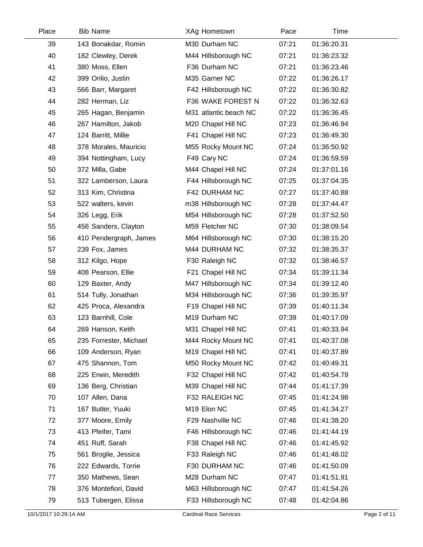| Place | <b>Bib Name</b>        | XAg Hometown          | Pace  | Time        |  |
|-------|------------------------|-----------------------|-------|-------------|--|
| 39    | 143 Bonakdar, Romin    | M30 Durham NC         | 07:21 | 01:36:20.31 |  |
| 40    | 182 Clewley, Derek     | M44 Hillsborough NC   | 07:21 | 01:36:23.32 |  |
| 41    | 380 Moss, Ellen        | F36 Durham NC         | 07:21 | 01:36:23.46 |  |
| 42    | 399 Orilio, Justin     | M35 Garner NC         | 07:22 | 01:36:26.17 |  |
| 43    | 566 Barr, Margaret     | F42 Hillsborough NC   | 07:22 | 01:36:30.82 |  |
| 44    | 282 Herman, Liz        | F36 WAKE FOREST N     | 07:22 | 01:36:32.63 |  |
| 45    | 265 Hagan, Benjamin    | M31 atlantic beach NC | 07:22 | 01:36:36.45 |  |
| 46    | 267 Hamilton, Jakob    | M20 Chapel Hill NC    | 07:23 | 01:36:46.94 |  |
| 47    | 124 Barritt, Millie    | F41 Chapel Hill NC    | 07:23 | 01:36:49.30 |  |
| 48    | 378 Morales, Mauricio  | M55 Rocky Mount NC    | 07:24 | 01:36:50.92 |  |
| 49    | 394 Nottingham, Lucy   | F49 Cary NC           | 07:24 | 01:36:59.59 |  |
| 50    | 372 Milla, Gabe        | M44 Chapel Hill NC    | 07:24 | 01:37:01.16 |  |
| 51    | 322 Lamberson, Laura   | F44 Hillsborough NC   | 07:25 | 01:37:04.35 |  |
| 52    | 313 Kim, Christina     | F42 DURHAM NC         | 07:27 | 01:37:40.88 |  |
| 53    | 522 walters, kevin     | m38 Hillsborough NC   | 07:28 | 01:37:44.47 |  |
| 54    | 326 Legg, Erik         | M54 Hillsborough NC   | 07:28 | 01:37:52.50 |  |
| 55    | 456 Sanders, Clayton   | M59 Fletcher NC       | 07:30 | 01:38:09.54 |  |
| 56    | 410 Pendergraph, James | M64 Hillsborough NC   | 07:30 | 01:38:15.20 |  |
| 57    | 239 Fox, James         | M44 DURHAM NC         | 07:32 | 01:38:35.37 |  |
| 58    | 312 Kilgo, Hope        | F30 Raleigh NC        | 07:32 | 01:38:46.57 |  |
| 59    | 408 Pearson, Ellie     | F21 Chapel Hill NC    | 07:34 | 01:39:11.34 |  |
| 60    | 129 Baxter, Andy       | M47 Hillsborough NC   | 07:34 | 01:39:12.40 |  |
| 61    | 514 Tully, Jonathan    | M34 Hillsborough NC   | 07:36 | 01:39:35.97 |  |
| 62    | 425 Proca, Alexandra   | F19 Chapel Hill NC    | 07:39 | 01:40:11.34 |  |
| 63    | 123 Barnhill, Cole     | M19 Durham NC         | 07:39 | 01:40:17.09 |  |
| 64    | 269 Hanson, Keith      | M31 Chapel Hill NC    | 07:41 | 01:40:33.94 |  |
| 65    | 235 Forrester, Michael | M44 Rocky Mount NC    | 07:41 | 01:40:37.08 |  |
| 66    | 109 Anderson, Ryan     | M19 Chapel Hill NC    | 07:41 | 01:40:37.89 |  |
| 67    | 475 Shannon, Tom       | M50 Rocky Mount NC    | 07:42 | 01:40:49.31 |  |
| 68    | 225 Erwin, Meredith    | F32 Chapel Hill NC    | 07:42 | 01:40:54.79 |  |
| 69    | 136 Berg, Christian    | M39 Chapel Hill NC    | 07:44 | 01:41:17.39 |  |
| 70    | 107 Allen, Dana        | F32 RALEIGH NC        | 07:45 | 01:41:24.98 |  |
| 71    | 167 Butler, Yuuki      | M19 Elon NC           | 07:45 | 01:41:34.27 |  |
| 72    | 377 Moore, Emily       | F29 Nashville NC      | 07:46 | 01:41:38.20 |  |
| 73    | 413 Pfeifer, Tami      | F46 Hillsborough NC   | 07:46 | 01:41:44.19 |  |
| 74    | 451 Ruff, Sarah        | F38 Chapel Hill NC    | 07:46 | 01:41:45.92 |  |
| 75    | 561 Broglie, Jessica   | F33 Raleigh NC        | 07:46 | 01:41:48.02 |  |
| 76    | 222 Edwards, Torrie    | F30 DURHAM NC         | 07:46 | 01:41:50.09 |  |
| 77    | 350 Mathews, Sean      | M28 Durham NC         | 07:47 | 01:41:51.91 |  |
| 78    | 376 Montefiori, David  | M63 Hillsborough NC   | 07:47 | 01:41:54.26 |  |
| 79    | 513 Tubergen, Elissa   | F33 Hillsborough NC   | 07:48 | 01:42:04.86 |  |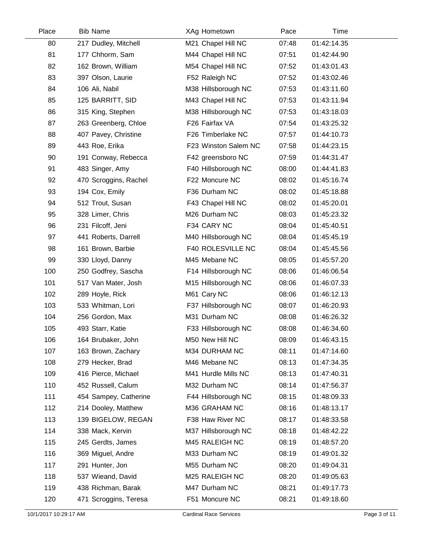| Place | <b>Bib Name</b>       | XAg Hometown         | Pace  | Time        |  |
|-------|-----------------------|----------------------|-------|-------------|--|
| 80    | 217 Dudley, Mitchell  | M21 Chapel Hill NC   | 07:48 | 01:42:14.35 |  |
| 81    | 177 Chhorm, Sam       | M44 Chapel Hill NC   | 07:51 | 01:42:44.90 |  |
| 82    | 162 Brown, William    | M54 Chapel Hill NC   | 07:52 | 01:43:01.43 |  |
| 83    | 397 Olson, Laurie     | F52 Raleigh NC       | 07:52 | 01:43:02.46 |  |
| 84    | 106 Ali, Nabil        | M38 Hillsborough NC  | 07:53 | 01:43:11.60 |  |
| 85    | 125 BARRITT, SID      | M43 Chapel Hill NC   | 07:53 | 01:43:11.94 |  |
| 86    | 315 King, Stephen     | M38 Hillsborough NC  | 07:53 | 01:43:18.03 |  |
| 87    | 263 Greenberg, Chloe  | F26 Fairfax VA       | 07:54 | 01:43:25.32 |  |
| 88    | 407 Pavey, Christine  | F26 Timberlake NC    | 07:57 | 01:44:10.73 |  |
| 89    | 443 Roe, Erika        | F23 Winston Salem NC | 07:58 | 01:44:23.15 |  |
| 90    | 191 Conway, Rebecca   | F42 greensboro NC    | 07:59 | 01:44:31.47 |  |
| 91    | 483 Singer, Amy       | F40 Hillsborough NC  | 08:00 | 01:44:41.83 |  |
| 92    | 470 Scroggins, Rachel | F22 Moncure NC       | 08:02 | 01:45:16.74 |  |
| 93    | 194 Cox, Emily        | F36 Durham NC        | 08:02 | 01:45:18.88 |  |
| 94    | 512 Trout, Susan      | F43 Chapel Hill NC   | 08:02 | 01:45:20.01 |  |
| 95    | 328 Limer, Chris      | M26 Durham NC        | 08:03 | 01:45:23.32 |  |
| 96    | 231 Filcoff, Jeni     | F34 CARY NC          | 08:04 | 01:45:40.51 |  |
| 97    | 441 Roberts, Darrell  | M40 Hillsborough NC  | 08:04 | 01:45:45.19 |  |
| 98    | 161 Brown, Barbie     | F40 ROLESVILLE NC    | 08:04 | 01:45:45.56 |  |
| 99    | 330 Lloyd, Danny      | M45 Mebane NC        | 08:05 | 01:45:57.20 |  |
| 100   | 250 Godfrey, Sascha   | F14 Hillsborough NC  | 08:06 | 01:46:06.54 |  |
| 101   | 517 Van Mater, Josh   | M15 Hillsborough NC  | 08:06 | 01:46:07.33 |  |
| 102   | 289 Hoyle, Rick       | M61 Cary NC          | 08:06 | 01:46:12.13 |  |
| 103   | 533 Whitman, Lori     | F37 Hillsborough NC  | 08:07 | 01:46:20.93 |  |
| 104   | 256 Gordon, Max       | M31 Durham NC        | 08:08 | 01:46:26.32 |  |
| 105   | 493 Starr, Katie      | F33 Hillsborough NC  | 08:08 | 01:46:34.60 |  |
| 106   | 164 Brubaker, John    | M50 New Hill NC      | 08:09 | 01:46:43.15 |  |
| 107   | 163 Brown, Zachary    | M34 DURHAM NC        | 08:11 | 01:47:14.60 |  |
| 108   | 279 Hecker, Brad      | M46 Mebane NC        | 08:13 | 01:47:34.35 |  |
| 109   | 416 Pierce, Michael   | M41 Hurdle Mills NC  | 08:13 | 01:47:40.31 |  |
| 110   | 452 Russell, Calum    | M32 Durham NC        | 08:14 | 01:47:56.37 |  |
| 111   | 454 Sampey, Catherine | F44 Hillsborough NC  | 08:15 | 01:48:09.33 |  |
| 112   | 214 Dooley, Matthew   | M36 GRAHAM NC        | 08:16 | 01:48:13.17 |  |
| 113   | 139 BIGELOW, REGAN    | F38 Haw River NC     | 08:17 | 01:48:33.58 |  |
| 114   | 338 Mack, Kervin      | M37 Hillsborough NC  | 08:18 | 01:48:42.22 |  |
| 115   | 245 Gerdts, James     | M45 RALEIGH NC       | 08:19 | 01:48:57.20 |  |
| 116   | 369 Miguel, Andre     | M33 Durham NC        | 08:19 | 01:49:01.32 |  |
| 117   | 291 Hunter, Jon       | M55 Durham NC        | 08:20 | 01:49:04.31 |  |
| 118   | 537 Wieand, David     | M25 RALEIGH NC       | 08:20 | 01:49:05.63 |  |
| 119   | 438 Richman, Barak    | M47 Durham NC        | 08:21 | 01:49:17.73 |  |
| 120   | 471 Scroggins, Teresa | F51 Moncure NC       | 08:21 | 01:49:18.60 |  |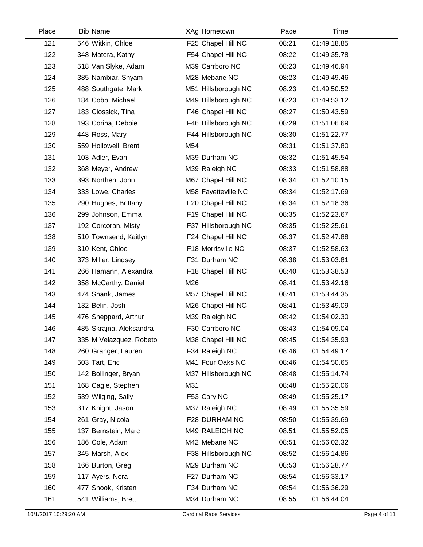| Place | <b>Bib Name</b>         | XAg Hometown        | Pace  | Time        |  |
|-------|-------------------------|---------------------|-------|-------------|--|
| 121   | 546 Witkin, Chloe       | F25 Chapel Hill NC  | 08:21 | 01:49:18.85 |  |
| 122   | 348 Matera, Kathy       | F54 Chapel Hill NC  | 08:22 | 01:49:35.78 |  |
| 123   | 518 Van Slyke, Adam     | M39 Carrboro NC     | 08:23 | 01:49:46.94 |  |
| 124   | 385 Nambiar, Shyam      | M28 Mebane NC       | 08:23 | 01:49:49.46 |  |
| 125   | 488 Southgate, Mark     | M51 Hillsborough NC | 08:23 | 01:49:50.52 |  |
| 126   | 184 Cobb, Michael       | M49 Hillsborough NC | 08:23 | 01:49:53.12 |  |
| 127   | 183 Clossick, Tina      | F46 Chapel Hill NC  | 08:27 | 01:50:43.59 |  |
| 128   | 193 Corina, Debbie      | F46 Hillsborough NC | 08:29 | 01:51:06.69 |  |
| 129   | 448 Ross, Mary          | F44 Hillsborough NC | 08:30 | 01:51:22.77 |  |
| 130   | 559 Hollowell, Brent    | M54                 | 08:31 | 01:51:37.80 |  |
| 131   | 103 Adler, Evan         | M39 Durham NC       | 08:32 | 01:51:45.54 |  |
| 132   | 368 Meyer, Andrew       | M39 Raleigh NC      | 08:33 | 01:51:58.88 |  |
| 133   | 393 Northen, John       | M67 Chapel Hill NC  | 08:34 | 01:52:10.15 |  |
| 134   | 333 Lowe, Charles       | M58 Fayetteville NC | 08:34 | 01:52:17.69 |  |
| 135   | 290 Hughes, Brittany    | F20 Chapel Hill NC  | 08:34 | 01:52:18.36 |  |
| 136   | 299 Johnson, Emma       | F19 Chapel Hill NC  | 08:35 | 01:52:23.67 |  |
| 137   | 192 Corcoran, Misty     | F37 Hillsborough NC | 08:35 | 01:52:25.61 |  |
| 138   | 510 Townsend, Kaitlyn   | F24 Chapel Hill NC  | 08:37 | 01:52:47.88 |  |
| 139   | 310 Kent, Chloe         | F18 Morrisville NC  | 08:37 | 01:52:58.63 |  |
| 140   | 373 Miller, Lindsey     | F31 Durham NC       | 08:38 | 01:53:03.81 |  |
| 141   | 266 Hamann, Alexandra   | F18 Chapel Hill NC  | 08:40 | 01:53:38.53 |  |
| 142   | 358 McCarthy, Daniel    | M26                 | 08:41 | 01:53:42.16 |  |
| 143   | 474 Shank, James        | M57 Chapel Hill NC  | 08:41 | 01:53:44.35 |  |
| 144   | 132 Belin, Josh         | M26 Chapel Hill NC  | 08:41 | 01:53:49.09 |  |
| 145   | 476 Sheppard, Arthur    | M39 Raleigh NC      | 08:42 | 01:54:02.30 |  |
| 146   | 485 Skrajna, Aleksandra | F30 Carrboro NC     | 08:43 | 01:54:09.04 |  |
| 147   | 335 M Velazquez, Robeto | M38 Chapel Hill NC  | 08:45 | 01:54:35.93 |  |
| 148   | 260 Granger, Lauren     | F34 Raleigh NC      | 08:46 | 01:54:49.17 |  |
| 149   | 503 Tart, Eric          | M41 Four Oaks NC    | 08:46 | 01:54:50.65 |  |
| 150   | 142 Bollinger, Bryan    | M37 Hillsborough NC | 08:48 | 01:55:14.74 |  |
| 151   | 168 Cagle, Stephen      | M31                 | 08:48 | 01:55:20.06 |  |
| 152   | 539 Wilging, Sally      | F53 Cary NC         | 08:49 | 01:55:25.17 |  |
| 153   | 317 Knight, Jason       | M37 Raleigh NC      | 08:49 | 01:55:35.59 |  |
| 154   | 261 Gray, Nicola        | F28 DURHAM NC       | 08:50 | 01:55:39.69 |  |
| 155   | 137 Bernstein, Marc     | M49 RALEIGH NC      | 08:51 | 01:55:52.05 |  |
| 156   | 186 Cole, Adam          | M42 Mebane NC       | 08:51 | 01:56:02.32 |  |
| 157   | 345 Marsh, Alex         | F38 Hillsborough NC | 08:52 | 01:56:14.86 |  |
| 158   | 166 Burton, Greg        | M29 Durham NC       | 08:53 | 01:56:28.77 |  |
| 159   | 117 Ayers, Nora         | F27 Durham NC       | 08:54 | 01:56:33.17 |  |
| 160   | 477 Shook, Kristen      | F34 Durham NC       | 08:54 | 01:56:36.29 |  |
| 161   | 541 Williams, Brett     | M34 Durham NC       | 08:55 | 01:56:44.04 |  |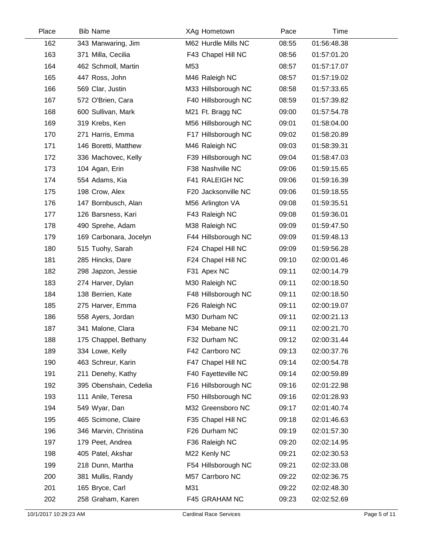| Place | <b>Bib Name</b>        | XAg Hometown        | Pace  | Time        |  |
|-------|------------------------|---------------------|-------|-------------|--|
| 162   | 343 Manwaring, Jim     | M62 Hurdle Mills NC | 08:55 | 01:56:48.38 |  |
| 163   | 371 Milla, Cecilia     | F43 Chapel Hill NC  | 08:56 | 01:57:01.20 |  |
| 164   | 462 Schmoll, Martin    | M53                 | 08:57 | 01:57:17.07 |  |
| 165   | 447 Ross, John         | M46 Raleigh NC      | 08:57 | 01:57:19.02 |  |
| 166   | 569 Clar, Justin       | M33 Hillsborough NC | 08:58 | 01:57:33.65 |  |
| 167   | 572 O'Brien, Cara      | F40 Hillsborough NC | 08:59 | 01:57:39.82 |  |
| 168   | 600 Sullivan, Mark     | M21 Ft. Bragg NC    | 09:00 | 01:57:54.78 |  |
| 169   | 319 Krebs, Ken         | M56 Hillsborough NC | 09:01 | 01:58:04.00 |  |
| 170   | 271 Harris, Emma       | F17 Hillsborough NC | 09:02 | 01:58:20.89 |  |
| 171   | 146 Boretti, Matthew   | M46 Raleigh NC      | 09:03 | 01:58:39.31 |  |
| 172   | 336 Machovec, Kelly    | F39 Hillsborough NC | 09:04 | 01:58:47.03 |  |
| 173   | 104 Agan, Erin         | F38 Nashville NC    | 09:06 | 01:59:15.65 |  |
| 174   | 554 Adams, Kia         | F41 RALEIGH NC      | 09:06 | 01:59:16.39 |  |
| 175   | 198 Crow, Alex         | F20 Jacksonville NC | 09:06 | 01:59:18.55 |  |
| 176   | 147 Bornbusch, Alan    | M56 Arlington VA    | 09:08 | 01:59:35.51 |  |
| 177   | 126 Barsness, Kari     | F43 Raleigh NC      | 09:08 | 01:59:36.01 |  |
| 178   | 490 Sprehe, Adam       | M38 Raleigh NC      | 09:09 | 01:59:47.50 |  |
| 179   | 169 Carbonara, Jocelyn | F44 Hillsborough NC | 09:09 | 01:59:48.13 |  |
| 180   | 515 Tuohy, Sarah       | F24 Chapel Hill NC  | 09:09 | 01:59:56.28 |  |
| 181   | 285 Hincks, Dare       | F24 Chapel Hill NC  | 09:10 | 02:00:01.46 |  |
| 182   | 298 Japzon, Jessie     | F31 Apex NC         | 09:11 | 02:00:14.79 |  |
| 183   | 274 Harver, Dylan      | M30 Raleigh NC      | 09:11 | 02:00:18.50 |  |
| 184   | 138 Berrien, Kate      | F48 Hillsborough NC | 09:11 | 02:00:18.50 |  |
| 185   | 275 Harver, Emma       | F26 Raleigh NC      | 09:11 | 02:00:19.07 |  |
| 186   | 558 Ayers, Jordan      | M30 Durham NC       | 09:11 | 02:00:21.13 |  |
| 187   | 341 Malone, Clara      | F34 Mebane NC       | 09:11 | 02:00:21.70 |  |
| 188   | 175 Chappel, Bethany   | F32 Durham NC       | 09:12 | 02:00:31.44 |  |
| 189   | 334 Lowe, Kelly        | F42 Carrboro NC     | 09:13 | 02:00:37.76 |  |
| 190   | 463 Schreur, Karin     | F47 Chapel Hill NC  | 09:14 | 02:00:54.78 |  |
| 191   | 211 Denehy, Kathy      | F40 Fayetteville NC | 09:14 | 02:00:59.89 |  |
| 192   | 395 Obenshain, Cedelia | F16 Hillsborough NC | 09:16 | 02:01:22.98 |  |
| 193   | 111 Anile, Teresa      | F50 Hillsborough NC | 09:16 | 02:01:28.93 |  |
| 194   | 549 Wyar, Dan          | M32 Greensboro NC   | 09:17 | 02:01:40.74 |  |
| 195   | 465 Scimone, Claire    | F35 Chapel Hill NC  | 09:18 | 02:01:46.63 |  |
| 196   | 346 Marvin, Christina  | F26 Durham NC       | 09:19 | 02:01:57.30 |  |
| 197   | 179 Peet, Andrea       | F36 Raleigh NC      | 09:20 | 02:02:14.95 |  |
| 198   | 405 Patel, Akshar      | M22 Kenly NC        | 09:21 | 02:02:30.53 |  |
| 199   | 218 Dunn, Martha       | F54 Hillsborough NC | 09:21 | 02:02:33.08 |  |
| 200   | 381 Mullis, Randy      | M57 Carrboro NC     | 09:22 | 02:02:36.75 |  |
| 201   | 165 Bryce, Carl        | M31                 | 09:22 | 02:02:48.30 |  |
| 202   | 258 Graham, Karen      | F45 GRAHAM NC       | 09:23 | 02:02:52.69 |  |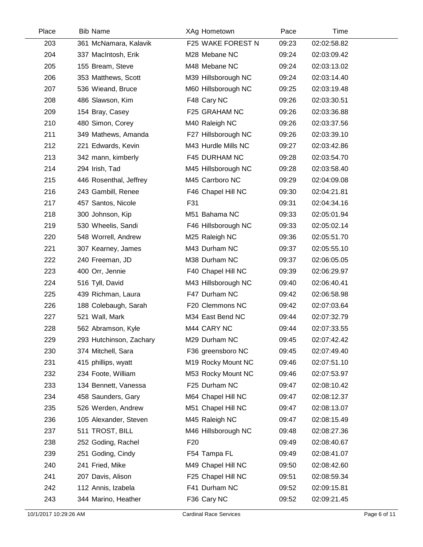| Place | <b>Bib Name</b>         | XAg Hometown        | Pace  | Time        |  |
|-------|-------------------------|---------------------|-------|-------------|--|
| 203   | 361 McNamara, Kalavik   | F25 WAKE FOREST N   | 09:23 | 02:02:58.82 |  |
| 204   | 337 MacIntosh, Erik     | M28 Mebane NC       | 09:24 | 02:03:09.42 |  |
| 205   | 155 Bream, Steve        | M48 Mebane NC       | 09:24 | 02:03:13.02 |  |
| 206   | 353 Matthews, Scott     | M39 Hillsborough NC | 09:24 | 02:03:14.40 |  |
| 207   | 536 Wieand, Bruce       | M60 Hillsborough NC | 09:25 | 02:03:19.48 |  |
| 208   | 486 Slawson, Kim        | F48 Cary NC         | 09:26 | 02:03:30.51 |  |
| 209   | 154 Bray, Casey         | F25 GRAHAM NC       | 09:26 | 02:03:36.88 |  |
| 210   | 480 Simon, Corey        | M40 Raleigh NC      | 09:26 | 02:03:37.56 |  |
| 211   | 349 Mathews, Amanda     | F27 Hillsborough NC | 09:26 | 02:03:39.10 |  |
| 212   | 221 Edwards, Kevin      | M43 Hurdle Mills NC | 09:27 | 02:03:42.86 |  |
| 213   | 342 mann, kimberly      | F45 DURHAM NC       | 09:28 | 02:03:54.70 |  |
| 214   | 294 Irish, Tad          | M45 Hillsborough NC | 09:28 | 02:03:58.40 |  |
| 215   | 446 Rosenthal, Jeffrey  | M45 Carrboro NC     | 09:29 | 02:04:09.08 |  |
| 216   | 243 Gambill, Renee      | F46 Chapel Hill NC  | 09:30 | 02:04:21.81 |  |
| 217   | 457 Santos, Nicole      | F31                 | 09:31 | 02:04:34.16 |  |
| 218   | 300 Johnson, Kip        | M51 Bahama NC       | 09:33 | 02:05:01.94 |  |
| 219   | 530 Wheelis, Sandi      | F46 Hillsborough NC | 09:33 | 02:05:02.14 |  |
| 220   | 548 Worrell, Andrew     | M25 Raleigh NC      | 09:36 | 02:05:51.70 |  |
| 221   | 307 Kearney, James      | M43 Durham NC       | 09:37 | 02:05:55.10 |  |
| 222   | 240 Freeman, JD         | M38 Durham NC       | 09:37 | 02:06:05.05 |  |
| 223   | 400 Orr, Jennie         | F40 Chapel Hill NC  | 09:39 | 02:06:29.97 |  |
| 224   | 516 Tyll, David         | M43 Hillsborough NC | 09:40 | 02:06:40.41 |  |
| 225   | 439 Richman, Laura      | F47 Durham NC       | 09:42 | 02:06:58.98 |  |
| 226   | 188 Colebaugh, Sarah    | F20 Clemmons NC     | 09:42 | 02:07:03.64 |  |
| 227   | 521 Wall, Mark          | M34 East Bend NC    | 09:44 | 02:07:32.79 |  |
| 228   | 562 Abramson, Kyle      | M44 CARY NC         | 09:44 | 02:07:33.55 |  |
| 229   | 293 Hutchinson, Zachary | M29 Durham NC       | 09:45 | 02:07:42.42 |  |
| 230   | 374 Mitchell, Sara      | F36 greensboro NC   | 09:45 | 02:07:49.40 |  |
| 231   | 415 phillips, wyatt     | M19 Rocky Mount NC  | 09:46 | 02:07:51.10 |  |
| 232   | 234 Foote, William      | M53 Rocky Mount NC  | 09:46 | 02:07:53.97 |  |
| 233   | 134 Bennett, Vanessa    | F25 Durham NC       | 09:47 | 02:08:10.42 |  |
| 234   | 458 Saunders, Gary      | M64 Chapel Hill NC  | 09:47 | 02:08:12.37 |  |
| 235   | 526 Werden, Andrew      | M51 Chapel Hill NC  | 09:47 | 02:08:13.07 |  |
| 236   | 105 Alexander, Steven   | M45 Raleigh NC      | 09:47 | 02:08:15.49 |  |
| 237   | 511 TROST, BILL         | M46 Hillsborough NC | 09:48 | 02:08:27.36 |  |
| 238   | 252 Goding, Rachel      | F <sub>20</sub>     | 09:49 | 02:08:40.67 |  |
| 239   | 251 Goding, Cindy       | F54 Tampa FL        | 09:49 | 02:08:41.07 |  |
| 240   | 241 Fried, Mike         | M49 Chapel Hill NC  | 09:50 | 02:08:42.60 |  |
| 241   | 207 Davis, Alison       | F25 Chapel Hill NC  | 09:51 | 02:08:59.34 |  |
| 242   | 112 Annis, Izabela      | F41 Durham NC       | 09:52 | 02:09:15.81 |  |
| 243   | 344 Marino, Heather     | F36 Cary NC         | 09:52 | 02:09:21.45 |  |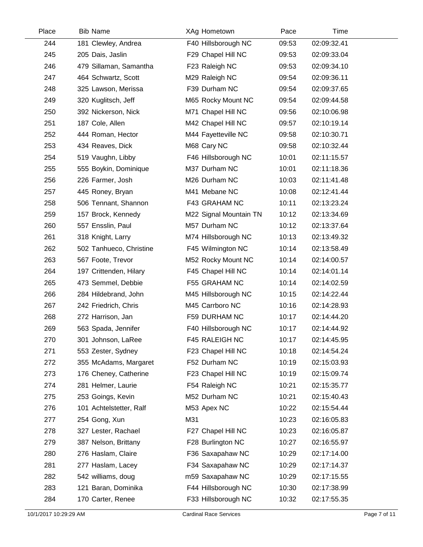| Place | <b>Bib Name</b>         | XAg Hometown           | Pace  | Time        |
|-------|-------------------------|------------------------|-------|-------------|
| 244   | 181 Clewley, Andrea     | F40 Hillsborough NC    | 09:53 | 02:09:32.41 |
| 245   | 205 Dais, Jaslin        | F29 Chapel Hill NC     | 09:53 | 02:09:33.04 |
| 246   | 479 Sillaman, Samantha  | F23 Raleigh NC         | 09:53 | 02:09:34.10 |
| 247   | 464 Schwartz, Scott     | M29 Raleigh NC         | 09:54 | 02:09:36.11 |
| 248   | 325 Lawson, Merissa     | F39 Durham NC          | 09:54 | 02:09:37.65 |
| 249   | 320 Kuglitsch, Jeff     | M65 Rocky Mount NC     | 09:54 | 02:09:44.58 |
| 250   | 392 Nickerson, Nick     | M71 Chapel Hill NC     | 09:56 | 02:10:06.98 |
| 251   | 187 Cole, Allen         | M42 Chapel Hill NC     | 09:57 | 02:10:19.14 |
| 252   | 444 Roman, Hector       | M44 Fayetteville NC    | 09:58 | 02:10:30.71 |
| 253   | 434 Reaves, Dick        | M68 Cary NC            | 09:58 | 02:10:32.44 |
| 254   | 519 Vaughn, Libby       | F46 Hillsborough NC    | 10:01 | 02:11:15.57 |
| 255   | 555 Boykin, Dominique   | M37 Durham NC          | 10:01 | 02:11:18.36 |
| 256   | 226 Farmer, Josh        | M26 Durham NC          | 10:03 | 02:11:41.48 |
| 257   | 445 Roney, Bryan        | M41 Mebane NC          | 10:08 | 02:12:41.44 |
| 258   | 506 Tennant, Shannon    | F43 GRAHAM NC          | 10:11 | 02:13:23.24 |
| 259   | 157 Brock, Kennedy      | M22 Signal Mountain TN | 10:12 | 02:13:34.69 |
| 260   | 557 Ensslin, Paul       | M57 Durham NC          | 10:12 | 02:13:37.64 |
| 261   | 318 Knight, Larry       | M74 Hillsborough NC    | 10:13 | 02:13:49.32 |
| 262   | 502 Tanhueco, Christine | F45 Wilmington NC      | 10:14 | 02:13:58.49 |
| 263   | 567 Foote, Trevor       | M52 Rocky Mount NC     | 10:14 | 02:14:00.57 |
| 264   | 197 Crittenden, Hilary  | F45 Chapel Hill NC     | 10:14 | 02:14:01.14 |
| 265   | 473 Semmel, Debbie      | F55 GRAHAM NC          | 10:14 | 02:14:02.59 |
| 266   | 284 Hildebrand, John    | M45 Hillsborough NC    | 10:15 | 02:14:22.44 |
| 267   | 242 Friedrich, Chris    | M45 Carrboro NC        | 10:16 | 02:14:28.93 |
| 268   | 272 Harrison, Jan       | F59 DURHAM NC          | 10:17 | 02:14:44.20 |
| 269   | 563 Spada, Jennifer     | F40 Hillsborough NC    | 10:17 | 02:14:44.92 |
| 270   | 301 Johnson, LaRee      | F45 RALEIGH NC         | 10:17 | 02:14:45.95 |
| 271   | 553 Zester, Sydney      | F23 Chapel Hill NC     | 10:18 | 02:14:54.24 |
| 272   | 355 McAdams, Margaret   | F52 Durham NC          | 10:19 | 02:15:03.93 |
| 273   | 176 Cheney, Catherine   | F23 Chapel Hill NC     | 10:19 | 02:15:09.74 |
| 274   | 281 Helmer, Laurie      | F54 Raleigh NC         | 10:21 | 02:15:35.77 |
| 275   | 253 Goings, Kevin       | M52 Durham NC          | 10:21 | 02:15:40.43 |
| 276   | 101 Achtelstetter, Ralf | M53 Apex NC            | 10:22 | 02:15:54.44 |
| 277   | 254 Gong, Xun           | M31                    | 10:23 | 02:16:05.83 |
| 278   | 327 Lester, Rachael     | F27 Chapel Hill NC     | 10:23 | 02:16:05.87 |
| 279   | 387 Nelson, Brittany    | F28 Burlington NC      | 10:27 | 02:16:55.97 |
| 280   | 276 Haslam, Claire      | F36 Saxapahaw NC       | 10:29 | 02:17:14.00 |
| 281   | 277 Haslam, Lacey       | F34 Saxapahaw NC       | 10:29 | 02:17:14.37 |
| 282   | 542 williams, doug      | m59 Saxapahaw NC       | 10:29 | 02:17:15.55 |
| 283   | 121 Baran, Dominika     | F44 Hillsborough NC    | 10:30 | 02:17:38.99 |
| 284   | 170 Carter, Renee       | F33 Hillsborough NC    | 10:32 | 02:17:55.35 |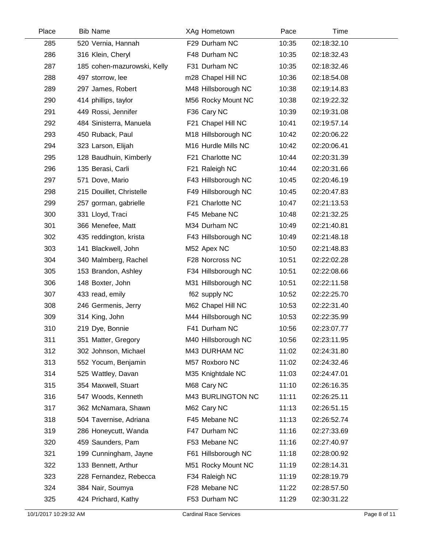| Place | <b>Bib Name</b>             | XAg Hometown        | Pace  | Time        |  |
|-------|-----------------------------|---------------------|-------|-------------|--|
| 285   | 520 Vernia, Hannah          | F29 Durham NC       | 10:35 | 02:18:32.10 |  |
| 286   | 316 Klein, Cheryl           | F48 Durham NC       | 10:35 | 02:18:32.43 |  |
| 287   | 185 cohen-mazurowski, Kelly | F31 Durham NC       | 10:35 | 02:18:32.46 |  |
| 288   | 497 storrow, lee            | m28 Chapel Hill NC  | 10:36 | 02:18:54.08 |  |
| 289   | 297 James, Robert           | M48 Hillsborough NC | 10:38 | 02:19:14.83 |  |
| 290   | 414 phillips, taylor        | M56 Rocky Mount NC  | 10:38 | 02:19:22.32 |  |
| 291   | 449 Rossi, Jennifer         | F36 Cary NC         | 10:39 | 02:19:31.08 |  |
| 292   | 484 Sinisterra, Manuela     | F21 Chapel Hill NC  | 10:41 | 02:19:57.14 |  |
| 293   | 450 Ruback, Paul            | M18 Hillsborough NC | 10:42 | 02:20:06.22 |  |
| 294   | 323 Larson, Elijah          | M16 Hurdle Mills NC | 10:42 | 02:20:06.41 |  |
| 295   | 128 Baudhuin, Kimberly      | F21 Charlotte NC    | 10:44 | 02:20:31.39 |  |
| 296   | 135 Berasi, Carli           | F21 Raleigh NC      | 10:44 | 02:20:31.66 |  |
| 297   | 571 Dove, Mario             | F43 Hillsborough NC | 10:45 | 02:20:46.19 |  |
| 298   | 215 Douillet, Christelle    | F49 Hillsborough NC | 10:45 | 02:20:47.83 |  |
| 299   | 257 gorman, gabrielle       | F21 Charlotte NC    | 10:47 | 02:21:13.53 |  |
| 300   | 331 Lloyd, Traci            | F45 Mebane NC       | 10:48 | 02:21:32.25 |  |
| 301   | 366 Menefee, Matt           | M34 Durham NC       | 10:49 | 02:21:40.81 |  |
| 302   | 435 reddington, krista      | F43 Hillsborough NC | 10:49 | 02:21:48.18 |  |
| 303   | 141 Blackwell, John         | M52 Apex NC         | 10:50 | 02:21:48.83 |  |
| 304   | 340 Malmberg, Rachel        | F28 Norcross NC     | 10:51 | 02:22:02.28 |  |
| 305   | 153 Brandon, Ashley         | F34 Hillsborough NC | 10:51 | 02:22:08.66 |  |
| 306   | 148 Boxter, John            | M31 Hillsborough NC | 10:51 | 02:22:11.58 |  |
| 307   | 433 read, emily             | f62 supply NC       | 10:52 | 02:22:25.70 |  |
| 308   | 246 Germenis, Jerry         | M62 Chapel Hill NC  | 10:53 | 02:22:31.40 |  |
| 309   | 314 King, John              | M44 Hillsborough NC | 10:53 | 02:22:35.99 |  |
| 310   | 219 Dye, Bonnie             | F41 Durham NC       | 10:56 | 02:23:07.77 |  |
| 311   | 351 Matter, Gregory         | M40 Hillsborough NC | 10:56 | 02:23:11.95 |  |
| 312   | 302 Johnson, Michael        | M43 DURHAM NC       | 11:02 | 02:24:31.80 |  |
| 313   | 552 Yocum, Benjamin         | M57 Roxboro NC      | 11:02 | 02:24:32.46 |  |
| 314   | 525 Wattley, Davan          | M35 Knightdale NC   | 11:03 | 02:24:47.01 |  |
| 315   | 354 Maxwell, Stuart         | M68 Cary NC         | 11:10 | 02:26:16.35 |  |
| 316   | 547 Woods, Kenneth          | M43 BURLINGTON NC   | 11:11 | 02:26:25.11 |  |
| 317   | 362 McNamara, Shawn         | M62 Cary NC         | 11:13 | 02:26:51.15 |  |
| 318   | 504 Tavernise, Adriana      | F45 Mebane NC       | 11:13 | 02:26:52.74 |  |
| 319   | 286 Honeycutt, Wanda        | F47 Durham NC       | 11:16 | 02:27:33.69 |  |
| 320   | 459 Saunders, Pam           | F53 Mebane NC       | 11:16 | 02:27:40.97 |  |
| 321   | 199 Cunningham, Jayne       | F61 Hillsborough NC | 11:18 | 02:28:00.92 |  |
| 322   | 133 Bennett, Arthur         | M51 Rocky Mount NC  | 11:19 | 02:28:14.31 |  |
| 323   | 228 Fernandez, Rebecca      | F34 Raleigh NC      | 11:19 | 02:28:19.79 |  |
| 324   | 384 Nair, Soumya            | F28 Mebane NC       | 11:22 | 02:28:57.50 |  |
| 325   | 424 Prichard, Kathy         | F53 Durham NC       | 11:29 | 02:30:31.22 |  |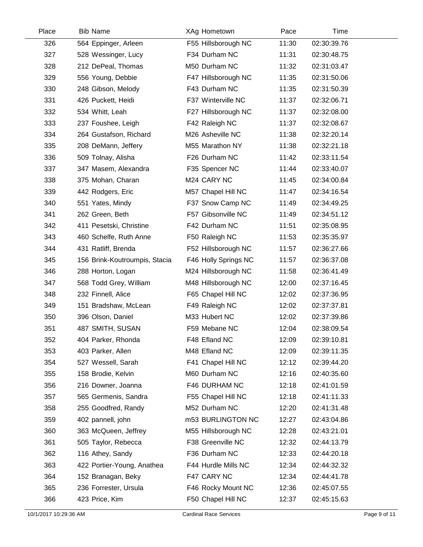| Place | <b>Bib Name</b>               | XAg Hometown         | Pace  | Time        |
|-------|-------------------------------|----------------------|-------|-------------|
| 326   | 564 Eppinger, Arleen          | F55 Hillsborough NC  | 11:30 | 02:30:39.76 |
| 327   | 528 Wessinger, Lucy           | F34 Durham NC        | 11:31 | 02:30:48.75 |
| 328   | 212 DePeal, Thomas            | M50 Durham NC        | 11:32 | 02:31:03.47 |
| 329   | 556 Young, Debbie             | F47 Hillsborough NC  | 11:35 | 02:31:50.06 |
| 330   | 248 Gibson, Melody            | F43 Durham NC        | 11:35 | 02:31:50.39 |
| 331   | 426 Puckett, Heidi            | F37 Winterville NC   | 11:37 | 02:32:06.71 |
| 332   | 534 Whitt, Leah               | F27 Hillsborough NC  | 11:37 | 02:32:08.00 |
| 333   | 237 Foushee, Leigh            | F42 Raleigh NC       | 11:37 | 02:32:08.67 |
| 334   | 264 Gustafson, Richard        | M26 Asheville NC     | 11:38 | 02:32:20.14 |
| 335   | 208 DeMann, Jeffery           | M55 Marathon NY      | 11:38 | 02:32:21.18 |
| 336   | 509 Tolnay, Alisha            | F26 Durham NC        | 11:42 | 02:33:11.54 |
| 337   | 347 Masem, Alexandra          | F35 Spencer NC       | 11:44 | 02:33:40.07 |
| 338   | 375 Mohan, Charan             | M24 CARY NC          | 11:45 | 02:34:00.84 |
| 339   | 442 Rodgers, Eric             | M57 Chapel Hill NC   | 11:47 | 02:34:16.54 |
| 340   | 551 Yates, Mindy              | F37 Snow Camp NC     | 11:49 | 02:34:49.25 |
| 341   | 262 Green, Beth               | F57 Gibsonville NC   | 11:49 | 02:34:51.12 |
| 342   | 411 Pesetski, Christine       | F42 Durham NC        | 11:51 | 02:35:08.95 |
| 343   | 460 Schelfe, Ruth Anne        | F50 Raleigh NC       | 11:53 | 02:35:35.97 |
| 344   | 431 Ratliff, Brenda           | F52 Hillsborough NC  | 11:57 | 02:36:27.66 |
| 345   | 156 Brink-Koutroumpis, Stacia | F46 Holly Springs NC | 11:57 | 02:36:37.08 |
| 346   | 288 Horton, Logan             | M24 Hillsborough NC  | 11:58 | 02:36:41.49 |
| 347   | 568 Todd Grey, William        | M48 Hillsborough NC  | 12:00 | 02:37:16.45 |
| 348   | 232 Finnell, Alice            | F65 Chapel Hill NC   | 12:02 | 02:37:36.95 |
| 349   | 151 Bradshaw, McLean          | F49 Raleigh NC       | 12:02 | 02:37:37.81 |
| 350   | 396 Olson, Daniel             | M33 Hubert NC        | 12:02 | 02:37:39.86 |
| 351   | 487 SMITH, SUSAN              | F59 Mebane NC        | 12:04 | 02:38:09.54 |
| 352   | 404 Parker, Rhonda            | F48 Efland NC        | 12:09 | 02:39:10.81 |
| 353   | 403 Parker, Allen             | M48 Efland NC        | 12:09 | 02:39:11.35 |
| 354   | 527 Wessell, Sarah            | F41 Chapel Hill NC   | 12:12 | 02:39:44.20 |
| 355   | 158 Brodie, Kelvin            | M60 Durham NC        | 12:16 | 02:40:35.60 |
| 356   | 216 Downer, Joanna            | F46 DURHAM NC        | 12:18 | 02:41:01.59 |
| 357   | 565 Germenis, Sandra          | F55 Chapel Hill NC   | 12:18 | 02:41:11.33 |
| 358   | 255 Goodfred, Randy           | M52 Durham NC        | 12:20 | 02:41:31.48 |
| 359   | 402 pannell, john             | m53 BURLINGTON NC    | 12:27 | 02:43:04.86 |
| 360   | 363 McQueen, Jeffrey          | M55 Hillsborough NC  | 12:28 | 02:43:21.01 |
| 361   | 505 Taylor, Rebecca           | F38 Greenville NC    | 12:32 | 02:44:13.79 |
| 362   | 116 Athey, Sandy              | F36 Durham NC        | 12:33 | 02:44:20.18 |
| 363   | 422 Portier-Young, Anathea    | F44 Hurdle Mills NC  | 12:34 | 02:44:32.32 |
| 364   | 152 Branagan, Beky            | F47 CARY NC          | 12:34 | 02:44:41.78 |
| 365   | 236 Forrester, Ursula         | F46 Rocky Mount NC   | 12:36 | 02:45:07.55 |
| 366   | 423 Price, Kim                | F50 Chapel Hill NC   | 12:37 | 02:45:15.63 |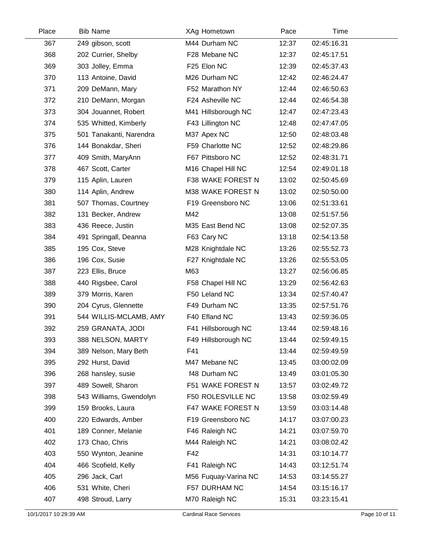| Place | <b>Bib Name</b>         | XAg Hometown         | Pace  | Time        |  |
|-------|-------------------------|----------------------|-------|-------------|--|
| 367   | 249 gibson, scott       | M44 Durham NC        | 12:37 | 02:45:16.31 |  |
| 368   | 202 Currier, Shelby     | F28 Mebane NC        | 12:37 | 02:45:17.51 |  |
| 369   | 303 Jolley, Emma        | F25 Elon NC          | 12:39 | 02:45:37.43 |  |
| 370   | 113 Antoine, David      | M26 Durham NC        | 12:42 | 02:46:24.47 |  |
| 371   | 209 DeMann, Mary        | F52 Marathon NY      | 12:44 | 02:46:50.63 |  |
| 372   | 210 DeMann, Morgan      | F24 Asheville NC     | 12:44 | 02:46:54.38 |  |
| 373   | 304 Jouannet, Robert    | M41 Hillsborough NC  | 12:47 | 02:47:23.43 |  |
| 374   | 535 Whitted, Kimberly   | F43 Lillington NC    | 12:48 | 02:47:47.05 |  |
| 375   | 501 Tanakanti, Narendra | M37 Apex NC          | 12:50 | 02:48:03.48 |  |
| 376   | 144 Bonakdar, Sheri     | F59 Charlotte NC     | 12:52 | 02:48:29.86 |  |
| 377   | 409 Smith, MaryAnn      | F67 Pittsboro NC     | 12:52 | 02:48:31.71 |  |
| 378   | 467 Scott, Carter       | M16 Chapel Hill NC   | 12:54 | 02:49:01.18 |  |
| 379   | 115 Aplin, Lauren       | F38 WAKE FOREST N    | 13:02 | 02:50:45.69 |  |
| 380   | 114 Aplin, Andrew       | M38 WAKE FOREST N    | 13:02 | 02:50:50.00 |  |
| 381   | 507 Thomas, Courtney    | F19 Greensboro NC    | 13:06 | 02:51:33.61 |  |
| 382   | 131 Becker, Andrew      | M42                  | 13:08 | 02:51:57.56 |  |
| 383   | 436 Reece, Justin       | M35 East Bend NC     | 13:08 | 02:52:07.35 |  |
| 384   | 491 Springall, Deanna   | F63 Cary NC          | 13:18 | 02:54:13.58 |  |
| 385   | 195 Cox, Steve          | M28 Knightdale NC    | 13:26 | 02:55:52.73 |  |
| 386   | 196 Cox, Susie          | F27 Knightdale NC    | 13:26 | 02:55:53.05 |  |
| 387   | 223 Ellis, Bruce        | M63                  | 13:27 | 02:56:06.85 |  |
| 388   | 440 Rigsbee, Carol      | F58 Chapel Hill NC   | 13:29 | 02:56:42.63 |  |
| 389   | 379 Morris, Karen       | F50 Leland NC        | 13:34 | 02:57:40.47 |  |
| 390   | 204 Cyrus, Glennette    | F49 Durham NC        | 13:35 | 02:57:51.76 |  |
| 391   | 544 WILLIS-MCLAMB, AMY  | F40 Efland NC        | 13:43 | 02:59:36.05 |  |
| 392   | 259 GRANATA, JODI       | F41 Hillsborough NC  | 13:44 | 02:59:48.16 |  |
| 393   | 388 NELSON, MARTY       | F49 Hillsborough NC  | 13:44 | 02:59:49.15 |  |
| 394   | 389 Nelson, Mary Beth   | F41                  | 13:44 | 02:59:49.59 |  |
| 395   | 292 Hurst, David        | M47 Mebane NC        | 13:45 | 03:00:02.09 |  |
| 396   | 268 hansley, susie      | f48 Durham NC        | 13:49 | 03:01:05.30 |  |
| 397   | 489 Sowell, Sharon      | F51 WAKE FOREST N    | 13:57 | 03:02:49.72 |  |
| 398   | 543 Williams, Gwendolyn | F50 ROLESVILLE NC    | 13:58 | 03:02:59.49 |  |
| 399   | 159 Brooks, Laura       | F47 WAKE FOREST N    | 13:59 | 03:03:14.48 |  |
| 400   | 220 Edwards, Amber      | F19 Greensboro NC    | 14:17 | 03:07:00.23 |  |
| 401   | 189 Conner, Melanie     | F46 Raleigh NC       | 14:21 | 03:07:59.70 |  |
| 402   | 173 Chao, Chris         | M44 Raleigh NC       | 14:21 | 03:08:02.42 |  |
| 403   | 550 Wynton, Jeanine     | F42                  | 14:31 | 03:10:14.77 |  |
| 404   | 466 Scofield, Kelly     | F41 Raleigh NC       | 14:43 | 03:12:51.74 |  |
| 405   | 296 Jack, Carl          | M56 Fuquay-Varina NC | 14:53 | 03:14:55.27 |  |
| 406   | 531 White, Cheri        | F57 DURHAM NC        | 14:54 | 03:15:16.17 |  |
| 407   | 498 Stroud, Larry       | M70 Raleigh NC       | 15:31 | 03:23:15.41 |  |